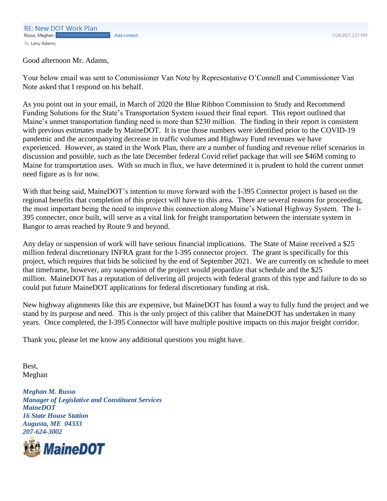1/28/2021 2:21 PM

Good afternoon Mr. Adams,

Your below email was sent to Commissioner Van Note by Representative O'Connell and Commissioner Van Note asked that I respond on his behalf.

As you point out in your email, in March of 2020 the Blue Ribbon Commission to Study and Recommend Funding Solutions for the State's Transportation System issued their final report. This report outlined that Maine's unmet transportation funding need is more than \$230 million. The finding in their report is consistent with previous estimates made by MaineDOT. It is true those numbers were identified prior to the COVID-19 pandemic and the accompanying decrease in traffic volumes and Highway Fund revenues we have experienced. However, as stated in the Work Plan, there are a number of funding and revenue relief scenarios in discussion and possible, such as the late December federal Covid relief package that will see \$46M coming to Maine for transportation uses. With so much in flux, we have determined it is prudent to hold the current unmet need figure as is for now.

With that being said, MaineDOT's intention to move forward with the I-395 Connector project is based on the regional benefits that completion of this project will have to this area. There are several reasons for proceeding, the most important being the need to improve this connection along Maine's National Highway System. The I-395 connecter, once built, will serve as a vital link for freight transportation between the interstate system in Bangor to areas reached by Route 9 and beyond.

Any delay or suspension of work will have serious financial implications. The State of Maine received a \$25 million federal discretionary INFRA grant for the I-395 connector project. The grant is specifically for this project, which requires that bids be solicited by the end of September 2021. We are currently on schedule to meet that timeframe, however, any suspension of the project would jeopardize that schedule and the \$25 million. MaineDOT has a reputation of delivering all projects with federal grants of this type and failure to do so could put future MaineDOT applications for federal discretionary funding at risk.

New highway alignments like this are expensive, but MaineDOT has found a way to fully fund the project and we stand by its purpose and need. This is the only project of this caliber that MaineDOT has undertaken in many years. Once completed, the I-395 Connector will have multiple positive impacts on this major freight corridor.

Thank you, please let me know any additional questions you might have.

Best, Meghan

*Meghan M. Russo Manager of Legislative and Constituent Services MaineDOT 16 State House Station Augusta, ME 04333 207-624-3002*